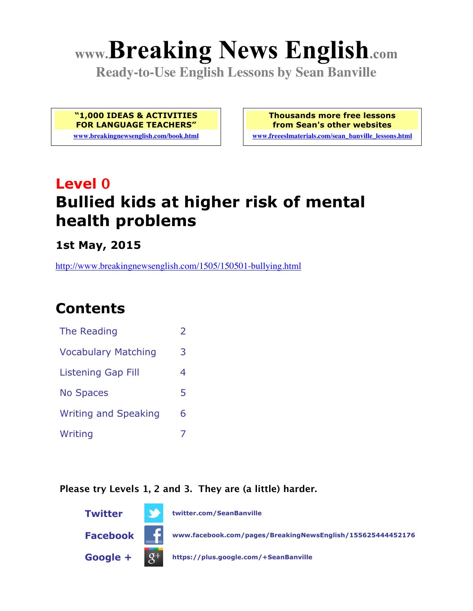# **www.Breaking News English.com**

**Ready-to-Use English Lessons by Sean Banville**

**"1,000 IDEAS & ACTIVITIES FOR LANGUAGE TEACHERS"**

**www.breakingnewsenglish.com/book.html**

**Thousands more free lessons from Sean's other websites**

**www.freeeslmaterials.com/sean\_banville\_lessons.html**

# **Level 0 Bullied kids at higher risk of mental health problems**

**1st May, 2015**

http://www.breakingnewsenglish.com/1505/150501-bullying.html

# **Contents**

| The Reading                 | $\mathcal{P}$ |
|-----------------------------|---------------|
| <b>Vocabulary Matching</b>  | 3             |
| Listening Gap Fill          | 4             |
| <b>No Spaces</b>            | 5             |
| <b>Writing and Speaking</b> | 6             |
| Writing                     |               |

**Please try Levels 1, 2 and 3. They are (a little) harder.**

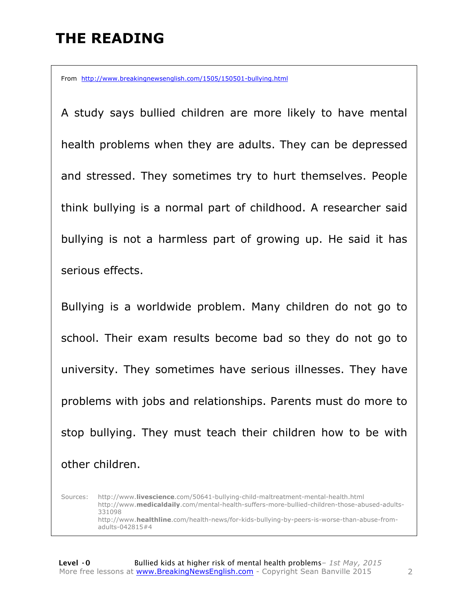### **THE READING**

From http://www.breakingnewsenglish.com/1505/150501-bullying.html

A study says bullied children are more likely to have mental health problems when they are adults. They can be depressed and stressed. They sometimes try to hurt themselves. People think bullying is a normal part of childhood. A researcher said bullying is not a harmless part of growing up. He said it has serious effects.

Bullying is a worldwide problem. Many children do not go to school. Their exam results become bad so they do not go to university. They sometimes have serious illnesses. They have problems with jobs and relationships. Parents must do more to stop bullying. They must teach their children how to be with other children.

Sources: http://www.**livescience**.com/50641-bullying-child-maltreatment-mental-health.html http://www.**medicaldaily**.com/mental-health-suffers-more-bullied-children-those-abused-adults-331098 http://www.**healthline**.com/health-news/for-kids-bullying-by-peers-is-worse-than-abuse-fromadults-042815#4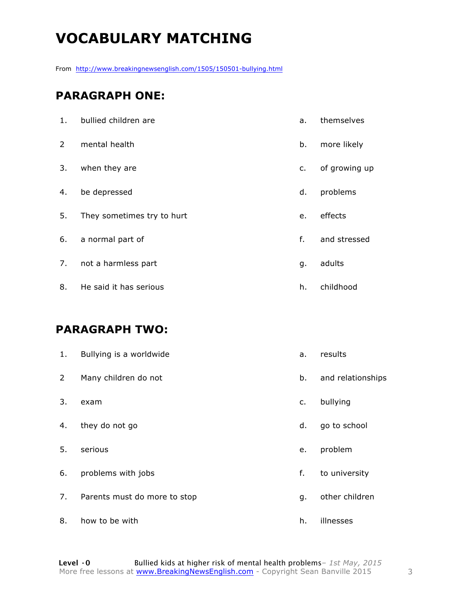# **VOCABULARY MATCHING**

From http://www.breakingnewsenglish.com/1505/150501-bullying.html

#### **PARAGRAPH ONE:**

| 1.            | bullied children are       | a. | themselves    |
|---------------|----------------------------|----|---------------|
| $\mathcal{L}$ | mental health              | b. | more likely   |
| 3.            | when they are              | c. | of growing up |
| 4.            | be depressed               | d. | problems      |
| 5.            | They sometimes try to hurt | e. | effects       |
| 6.            | a normal part of           | f. | and stressed  |
| 7.            | not a harmless part        | g. | adults        |
| 8.            | He said it has serious     | h. | childhood     |

#### **PARAGRAPH TWO:**

| 1. | Bullying is a worldwide      | a. | results           |
|----|------------------------------|----|-------------------|
| 2  | Many children do not         | b. | and relationships |
| 3. | exam                         | c. | bullying          |
| 4. | they do not go               | d. | go to school      |
| 5. | serious                      | e. | problem           |
| 6. | problems with jobs           | f. | to university     |
| 7. | Parents must do more to stop | g. | other children    |
| 8. | how to be with               | h. | illnesses         |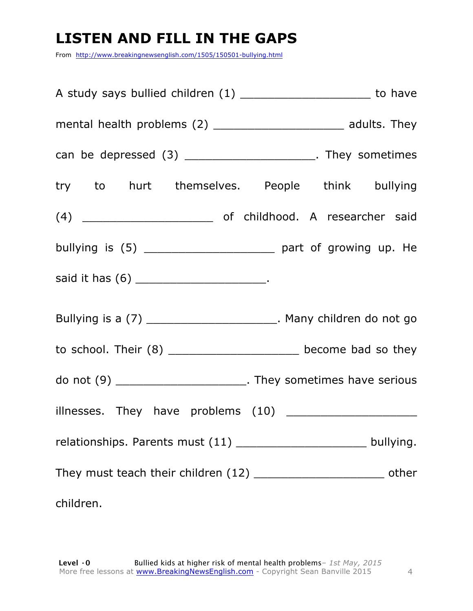# **LISTEN AND FILL IN THE GAPS**

From http://www.breakingnewsenglish.com/1505/150501-bullying.html

| A study says bullied children (1) _________________________ to have                                                                                                                                                           |  |
|-------------------------------------------------------------------------------------------------------------------------------------------------------------------------------------------------------------------------------|--|
|                                                                                                                                                                                                                               |  |
| can be depressed (3) ________________________. They sometimes                                                                                                                                                                 |  |
| try to hurt themselves. People think bullying                                                                                                                                                                                 |  |
|                                                                                                                                                                                                                               |  |
|                                                                                                                                                                                                                               |  |
| said it has (6) _________________________.                                                                                                                                                                                    |  |
| Bullying is a (7) ________________________. Many children do not go                                                                                                                                                           |  |
| to school. Their (8) _______________________ become bad so they                                                                                                                                                               |  |
| do not (9) _________________________. They sometimes have serious                                                                                                                                                             |  |
|                                                                                                                                                                                                                               |  |
| relationships. Parents must (11) ________________________ bullying.                                                                                                                                                           |  |
| They must teach their children (12) _______________________________ other                                                                                                                                                     |  |
| children. The contract of the contract of the contract of the contract of the contract of the contract of the contract of the contract of the contract of the contract of the contract of the contract of the contract of the |  |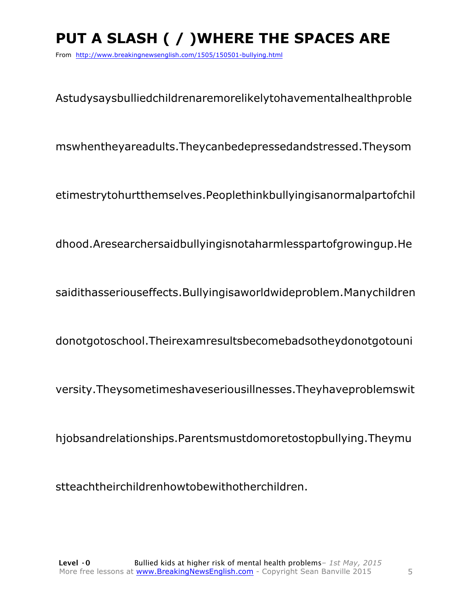# **PUT A SLASH ( / )WHERE THE SPACES ARE**

From http://www.breakingnewsenglish.com/1505/150501-bullying.html

Astudysaysbulliedchildrenaremorelikelytohavementalhealthproble

mswhentheyareadults.Theycanbedepressedandstressed.Theysom

etimestrytohurtthemselves.Peoplethinkbullyingisanormalpartofchil

dhood.Aresearchersaidbullyingisnotaharmlesspartofgrowingup.He

saidithasseriouseffects.Bullyingisaworldwideproblem.Manychildren

donotgotoschool.Theirexamresultsbecomebadsotheydonotgotouni

versity.Theysometimeshaveseriousillnesses.Theyhaveproblemswit

hjobsandrelationships.Parentsmustdomoretostopbullying.Theymu

stteachtheirchildrenhowtobewithotherchildren.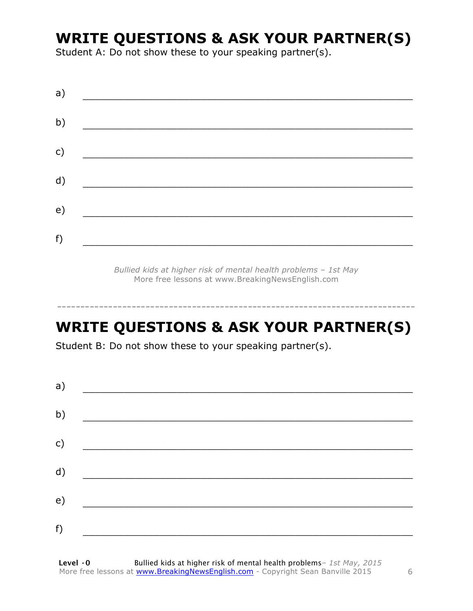### **WRITE QUESTIONS & ASK YOUR PARTNER(S)**

Student A: Do not show these to your speaking partner(s).

| a) |  |  |
|----|--|--|
| b) |  |  |
| c) |  |  |
| d) |  |  |
| e) |  |  |
| f) |  |  |
|    |  |  |

*Bullied kids at higher risk of mental health problems – 1st May* More free lessons at www.BreakingNewsEnglish.com

# **WRITE QUESTIONS & ASK YOUR PARTNER(S)**

-----------------------------------------------------------------------------

Student B: Do not show these to your speaking partner(s).

| a) |  |  |
|----|--|--|
| b) |  |  |
| c) |  |  |
| d) |  |  |
| e) |  |  |
| f) |  |  |
|    |  |  |